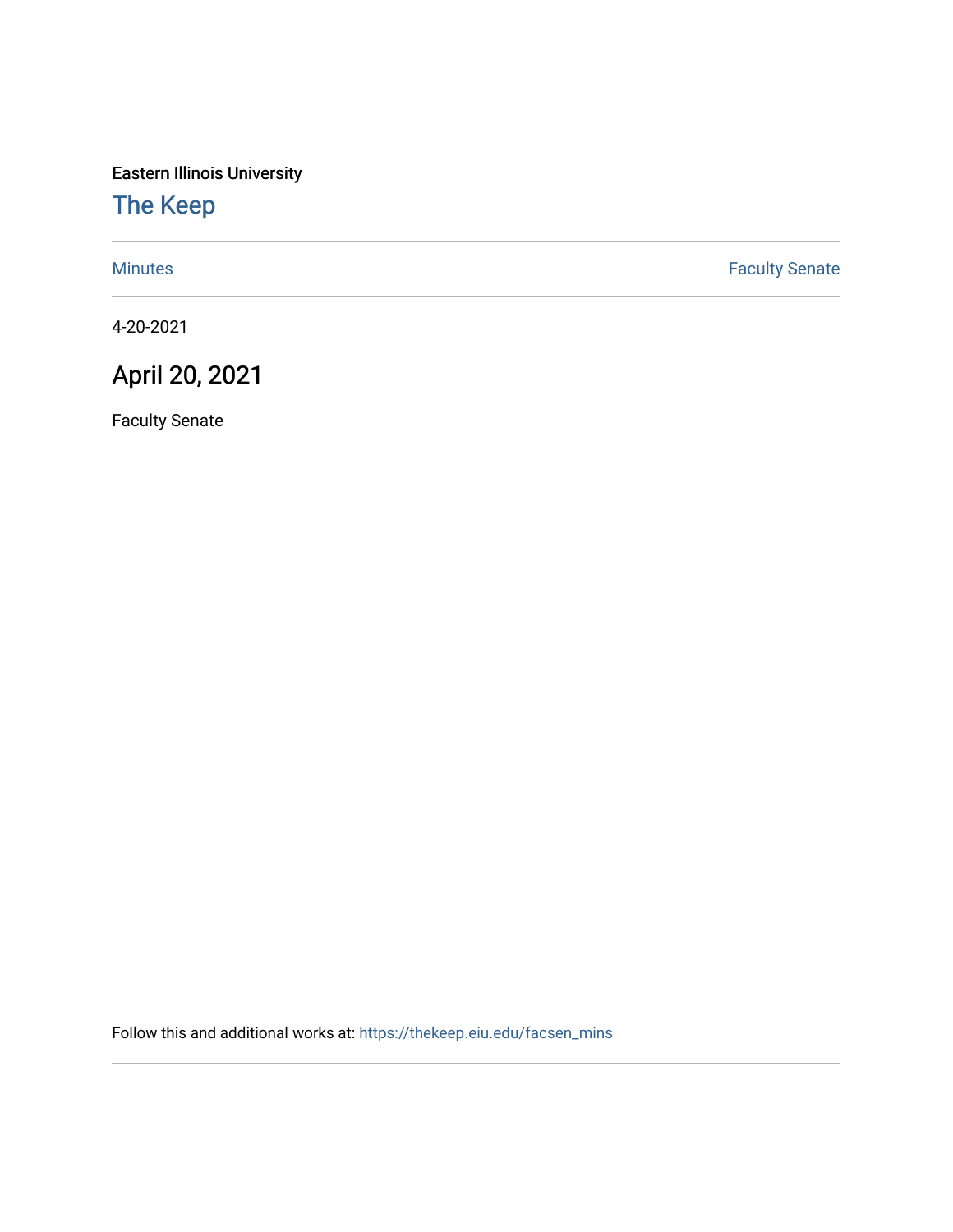Eastern Illinois University

## [The Keep](https://thekeep.eiu.edu/)

[Minutes](https://thekeep.eiu.edu/facsen_mins) **Faculty Senate** 

4-20-2021

## April 20, 2021

Faculty Senate

Follow this and additional works at: [https://thekeep.eiu.edu/facsen\\_mins](https://thekeep.eiu.edu/facsen_mins?utm_source=thekeep.eiu.edu%2Ffacsen_mins%2F1150&utm_medium=PDF&utm_campaign=PDFCoverPages)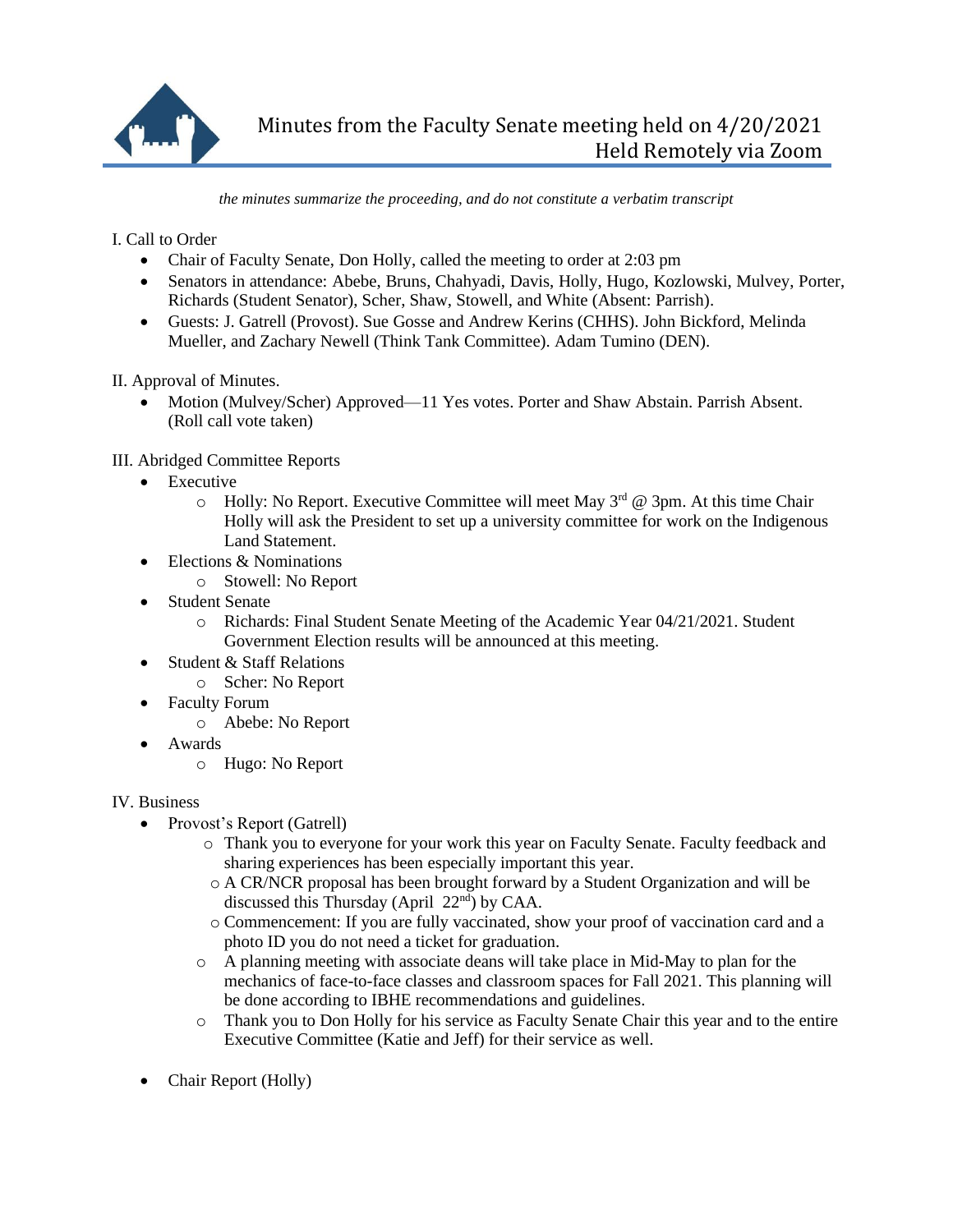

*the minutes summarize the proceeding, and do not constitute a verbatim transcript*

I. Call to Order

- Chair of Faculty Senate, Don Holly, called the meeting to order at 2:03 pm
- Senators in attendance: Abebe, Bruns, Chahyadi, Davis, Holly, Hugo, Kozlowski, Mulvey, Porter, Richards (Student Senator), Scher, Shaw, Stowell, and White (Absent: Parrish).
- Guests: J. Gatrell (Provost). Sue Gosse and Andrew Kerins (CHHS). John Bickford, Melinda Mueller, and Zachary Newell (Think Tank Committee). Adam Tumino (DEN).

II. Approval of Minutes.

• Motion (Mulvey/Scher) Approved—11 Yes votes. Porter and Shaw Abstain. Parrish Absent. (Roll call vote taken)

III. Abridged Committee Reports

- Executive
	- $\circ$  Holly: No Report. Executive Committee will meet May 3<sup>rd</sup> @ 3pm. At this time Chair Holly will ask the President to set up a university committee for work on the Indigenous Land Statement.
- Elections & Nominations
	- o Stowell: No Report
- Student Senate
	- o Richards: Final Student Senate Meeting of the Academic Year 04/21/2021. Student Government Election results will be announced at this meeting.
- Student & Staff Relations
	- o Scher: No Report
- Faculty Forum
	- o Abebe: No Report
- Awards
	- o Hugo: No Report

## IV. Business

- Provost's Report (Gatrell)
	- o Thank you to everyone for your work this year on Faculty Senate. Faculty feedback and sharing experiences has been especially important this year.
		- o A CR/NCR proposal has been brought forward by a Student Organization and will be discussed this Thursday (April  $22<sup>nd</sup>$ ) by CAA.
	- o Commencement: If you are fully vaccinated, show your proof of vaccination card and a photo ID you do not need a ticket for graduation.
	- o A planning meeting with associate deans will take place in Mid-May to plan for the mechanics of face-to-face classes and classroom spaces for Fall 2021. This planning will be done according to IBHE recommendations and guidelines.
	- o Thank you to Don Holly for his service as Faculty Senate Chair this year and to the entire Executive Committee (Katie and Jeff) for their service as well.
- Chair Report (Holly)